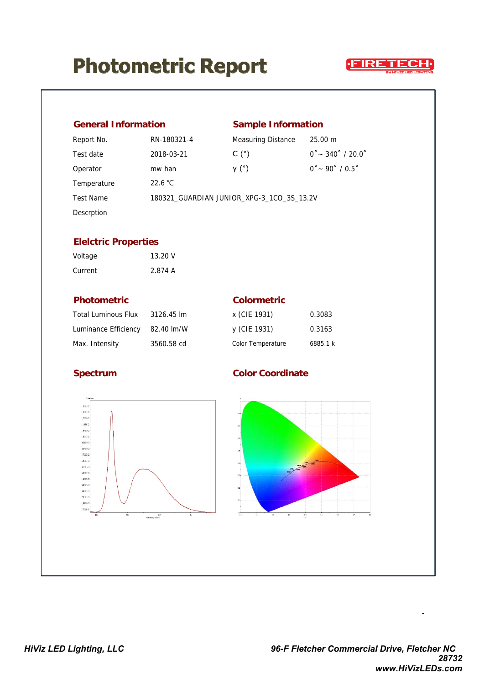## **Photometric Report**



| <b>General Information</b>                                                                                                                                                                                                                                                                             |                                           |                           | <b>Sample Information</b> |  |
|--------------------------------------------------------------------------------------------------------------------------------------------------------------------------------------------------------------------------------------------------------------------------------------------------------|-------------------------------------------|---------------------------|---------------------------|--|
| Report No.                                                                                                                                                                                                                                                                                             | RN-180321-4                               | Measuring Distance        | 25.00 m                   |  |
| Test date                                                                                                                                                                                                                                                                                              | 2018-03-21                                | C <sup>°</sup>            | $0° - 340° / 20.0°$       |  |
| Operator                                                                                                                                                                                                                                                                                               | mw han                                    | Y <sup>(°)</sup>          | $0° - 90° / 0.5°$         |  |
| Temperature                                                                                                                                                                                                                                                                                            | 22.6 °C                                   |                           |                           |  |
| <b>Test Name</b>                                                                                                                                                                                                                                                                                       | 180321_GUARDIAN JUNIOR_XPG-3_1CO_3S_13.2V |                           |                           |  |
| Descrption                                                                                                                                                                                                                                                                                             |                                           |                           |                           |  |
| <b>Elelctric Properties</b>                                                                                                                                                                                                                                                                            |                                           |                           |                           |  |
| Voltage                                                                                                                                                                                                                                                                                                | 13.20 V                                   |                           |                           |  |
| Current                                                                                                                                                                                                                                                                                                | 2.874 A                                   |                           |                           |  |
| <b>Photometric</b>                                                                                                                                                                                                                                                                                     |                                           | <b>Colormetric</b>        |                           |  |
| <b>Total Luminous Flux</b>                                                                                                                                                                                                                                                                             | 3126.45 lm                                | x (CIE 1931)              | 0.3083                    |  |
| Luminance Efficiency                                                                                                                                                                                                                                                                                   | 82.40 lm/W                                | y (CIE 1931)              | 0.3163                    |  |
| Max. Intensity                                                                                                                                                                                                                                                                                         | 3560.58 cd                                | Color Temperature         | 6885.1 k                  |  |
| <b>Spectrum</b>                                                                                                                                                                                                                                                                                        |                                           | <b>Color Coordinate</b>   |                           |  |
| Speciau<br>1,3596-02+<br>$1,3000 - 02$<br>$1,252E-22$<br>1,1558-02<br>1,098-02-<br>1,001E-02-<br>9,240E-03-<br>8498-03-<br>7,70E-03<br>6,950E-03-<br>6,160E-03-<br>5,3500-03-<br>$4,630\mathrm{E}\cdot\mathrm{GB}$<br>3,850E-03-<br>3.050E-CB-<br>2,310E-03<br>1,500E-03<br>$7.706 - 04$<br>400<br>500 | $\dot{w}$<br>60<br>Ware engin(nn)         | 45<br>$-0.2$<br>0.1<br>41 | 48<br>$a$ ?<br>41<br>44   |  |